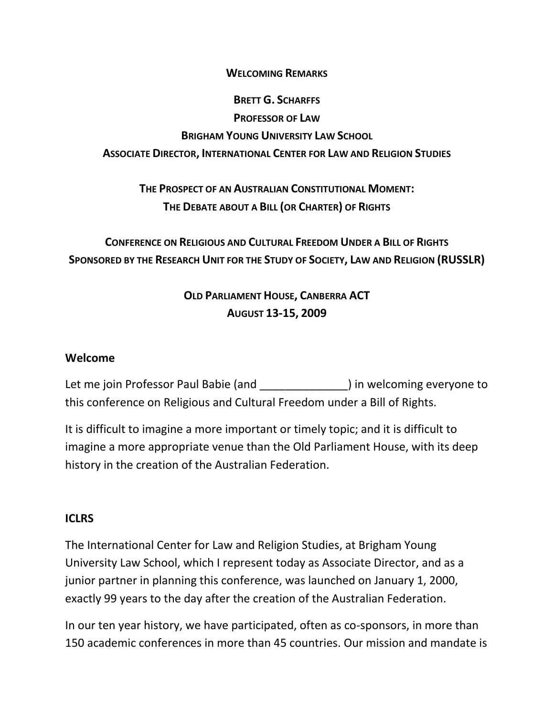#### **WELCOMING REMARKS**

# **BRETT G. SCHARFFS PROFESSOR OF LAW BRIGHAM YOUNG UNIVERSITY LAW SCHOOL ASSOCIATE DIRECTOR, INTERNATIONAL CENTER FOR LAW AND RELIGION STUDIES**

## **THE PROSPECT OF AN AUSTRALIAN CONSTITUTIONAL MOMENT: THE DEBATE ABOUT A BILL (OR CHARTER) OF RIGHTS**

## **CONFERENCE ON RELIGIOUS AND CULTURAL FREEDOM UNDER A BILL OF RIGHTS SPONSORED BY THE RESEARCH UNIT FOR THE STUDY OF SOCIETY, LAW AND RELIGION (RUSSLR)**

## **OLD PARLIAMENT HOUSE, CANBERRA ACT AUGUST 13-15, 2009**

#### **Welcome**

Let me join Professor Paul Babie (and \_\_\_\_\_\_\_\_\_\_\_\_\_\_\_\_) in welcoming everyone to this conference on Religious and Cultural Freedom under a Bill of Rights.

It is difficult to imagine a more important or timely topic; and it is difficult to imagine a more appropriate venue than the Old Parliament House, with its deep history in the creation of the Australian Federation.

#### **ICLRS**

The International Center for Law and Religion Studies, at Brigham Young University Law School, which I represent today as Associate Director, and as a junior partner in planning this conference, was launched on January 1, 2000, exactly 99 years to the day after the creation of the Australian Federation.

In our ten year history, we have participated, often as co-sponsors, in more than 150 academic conferences in more than 45 countries. Our mission and mandate is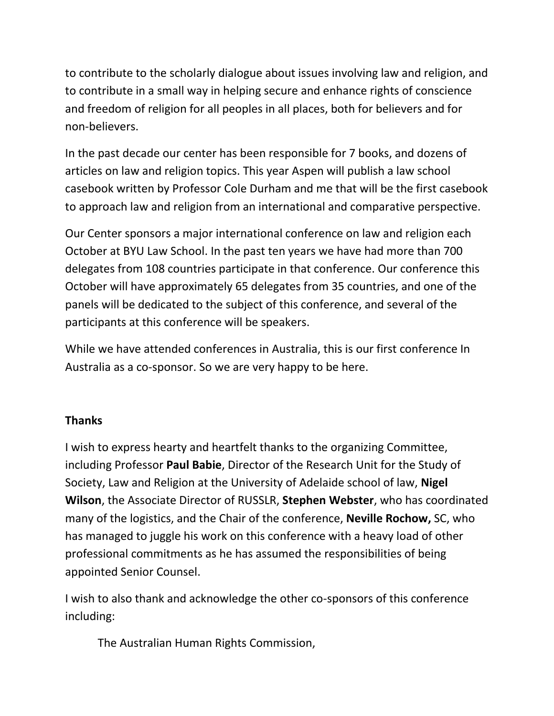to contribute to the scholarly dialogue about issues involving law and religion, and to contribute in a small way in helping secure and enhance rights of conscience and freedom of religion for all peoples in all places, both for believers and for non-believers.

In the past decade our center has been responsible for 7 books, and dozens of articles on law and religion topics. This year Aspen will publish a law school casebook written by Professor Cole Durham and me that will be the first casebook to approach law and religion from an international and comparative perspective.

Our Center sponsors a major international conference on law and religion each October at BYU Law School. In the past ten years we have had more than 700 delegates from 108 countries participate in that conference. Our conference this October will have approximately 65 delegates from 35 countries, and one of the panels will be dedicated to the subject of this conference, and several of the participants at this conference will be speakers.

While we have attended conferences in Australia, this is our first conference In Australia as a co-sponsor. So we are very happy to be here.

### **Thanks**

I wish to express hearty and heartfelt thanks to the organizing Committee, including Professor **Paul Babie**, Director of the Research Unit for the Study of Society, Law and Religion at the University of Adelaide school of law, **Nigel Wilson**, the Associate Director of RUSSLR, **Stephen Webster**, who has coordinated many of the logistics, and the Chair of the conference, **Neville Rochow,** SC, who has managed to juggle his work on this conference with a heavy load of other professional commitments as he has assumed the responsibilities of being appointed Senior Counsel.

I wish to also thank and acknowledge the other co-sponsors of this conference including:

The Australian Human Rights Commission,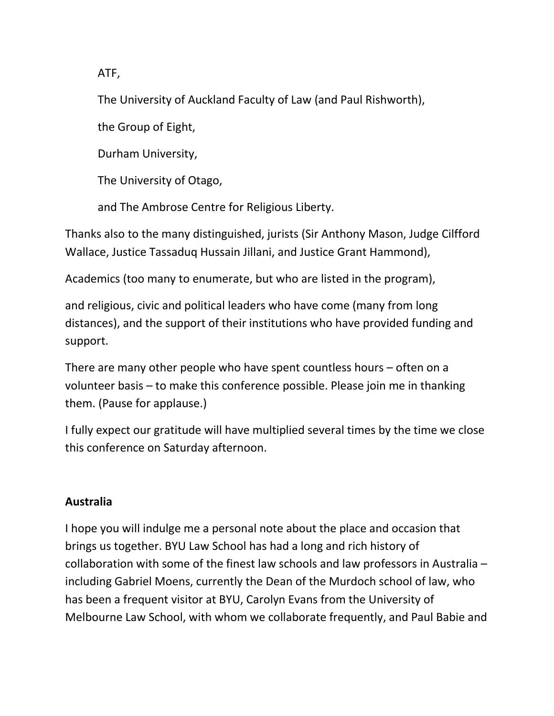ATF,

The University of Auckland Faculty of Law (and Paul Rishworth),

the Group of Eight,

Durham University,

The University of Otago,

and The Ambrose Centre for Religious Liberty.

Thanks also to the many distinguished, jurists (Sir Anthony Mason, Judge Cilfford Wallace, Justice Tassaduq Hussain Jillani, and Justice Grant Hammond),

Academics (too many to enumerate, but who are listed in the program),

and religious, civic and political leaders who have come (many from long distances), and the support of their institutions who have provided funding and support.

There are many other people who have spent countless hours – often on a volunteer basis – to make this conference possible. Please join me in thanking them. (Pause for applause.)

I fully expect our gratitude will have multiplied several times by the time we close this conference on Saturday afternoon.

#### **Australia**

I hope you will indulge me a personal note about the place and occasion that brings us together. BYU Law School has had a long and rich history of collaboration with some of the finest law schools and law professors in Australia – including Gabriel Moens, currently the Dean of the Murdoch school of law, who has been a frequent visitor at BYU, Carolyn Evans from the University of Melbourne Law School, with whom we collaborate frequently, and Paul Babie and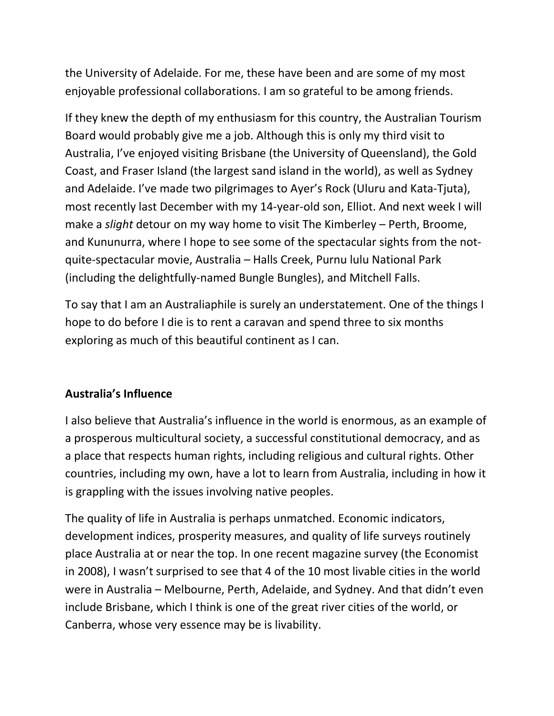the University of Adelaide. For me, these have been and are some of my most enjoyable professional collaborations. I am so grateful to be among friends.

If they knew the depth of my enthusiasm for this country, the Australian Tourism Board would probably give me a job. Although this is only my third visit to Australia, I've enjoyed visiting Brisbane (the University of Queensland), the Gold Coast, and Fraser Island (the largest sand island in the world), as well as Sydney and Adelaide. I've made two pilgrimages to Ayer's Rock (Uluru and Kata-Tjuta), most recently last December with my 14-year-old son, Elliot. And next week I will make a *slight* detour on my way home to visit The Kimberley – Perth, Broome, and Kununurra, where I hope to see some of the spectacular sights from the notquite-spectacular movie, Australia – Halls Creek, Purnu lulu National Park (including the delightfully-named Bungle Bungles), and Mitchell Falls.

To say that I am an Australiaphile is surely an understatement. One of the things I hope to do before I die is to rent a caravan and spend three to six months exploring as much of this beautiful continent as I can.

### **Australia's Influence**

I also believe that Australia's influence in the world is enormous, as an example of a prosperous multicultural society, a successful constitutional democracy, and as a place that respects human rights, including religious and cultural rights. Other countries, including my own, have a lot to learn from Australia, including in how it is grappling with the issues involving native peoples.

The quality of life in Australia is perhaps unmatched. Economic indicators, development indices, prosperity measures, and quality of life surveys routinely place Australia at or near the top. In one recent magazine survey (the Economist in 2008), I wasn't surprised to see that 4 of the 10 most livable cities in the world were in Australia – Melbourne, Perth, Adelaide, and Sydney. And that didn't even include Brisbane, which I think is one of the great river cities of the world, or Canberra, whose very essence may be is livability.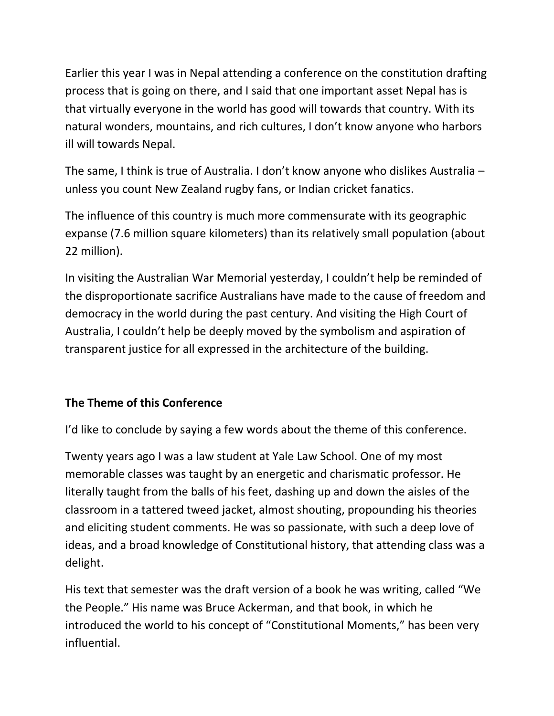Earlier this year I was in Nepal attending a conference on the constitution drafting process that is going on there, and I said that one important asset Nepal has is that virtually everyone in the world has good will towards that country. With its natural wonders, mountains, and rich cultures, I don't know anyone who harbors ill will towards Nepal.

The same, I think is true of Australia. I don't know anyone who dislikes Australia – unless you count New Zealand rugby fans, or Indian cricket fanatics.

The influence of this country is much more commensurate with its geographic expanse (7.6 million square kilometers) than its relatively small population (about 22 million).

In visiting the Australian War Memorial yesterday, I couldn't help be reminded of the disproportionate sacrifice Australians have made to the cause of freedom and democracy in the world during the past century. And visiting the High Court of Australia, I couldn't help be deeply moved by the symbolism and aspiration of transparent justice for all expressed in the architecture of the building.

## **The Theme of this Conference**

I'd like to conclude by saying a few words about the theme of this conference.

Twenty years ago I was a law student at Yale Law School. One of my most memorable classes was taught by an energetic and charismatic professor. He literally taught from the balls of his feet, dashing up and down the aisles of the classroom in a tattered tweed jacket, almost shouting, propounding his theories and eliciting student comments. He was so passionate, with such a deep love of ideas, and a broad knowledge of Constitutional history, that attending class was a delight.

His text that semester was the draft version of a book he was writing, called "We the People." His name was Bruce Ackerman, and that book, in which he introduced the world to his concept of "Constitutional Moments," has been very influential.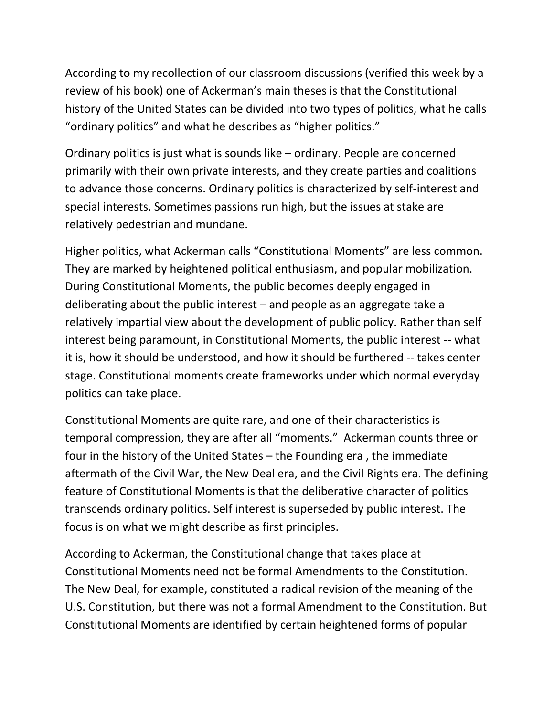According to my recollection of our classroom discussions (verified this week by a review of his book) one of Ackerman's main theses is that the Constitutional history of the United States can be divided into two types of politics, what he calls "ordinary politics" and what he describes as "higher politics."

Ordinary politics is just what is sounds like – ordinary. People are concerned primarily with their own private interests, and they create parties and coalitions to advance those concerns. Ordinary politics is characterized by self-interest and special interests. Sometimes passions run high, but the issues at stake are relatively pedestrian and mundane.

Higher politics, what Ackerman calls "Constitutional Moments" are less common. They are marked by heightened political enthusiasm, and popular mobilization. During Constitutional Moments, the public becomes deeply engaged in deliberating about the public interest – and people as an aggregate take a relatively impartial view about the development of public policy. Rather than self interest being paramount, in Constitutional Moments, the public interest -- what it is, how it should be understood, and how it should be furthered -- takes center stage. Constitutional moments create frameworks under which normal everyday politics can take place.

Constitutional Moments are quite rare, and one of their characteristics is temporal compression, they are after all "moments." Ackerman counts three or four in the history of the United States – the Founding era , the immediate aftermath of the Civil War, the New Deal era, and the Civil Rights era. The defining feature of Constitutional Moments is that the deliberative character of politics transcends ordinary politics. Self interest is superseded by public interest. The focus is on what we might describe as first principles.

According to Ackerman, the Constitutional change that takes place at Constitutional Moments need not be formal Amendments to the Constitution. The New Deal, for example, constituted a radical revision of the meaning of the U.S. Constitution, but there was not a formal Amendment to the Constitution. But Constitutional Moments are identified by certain heightened forms of popular